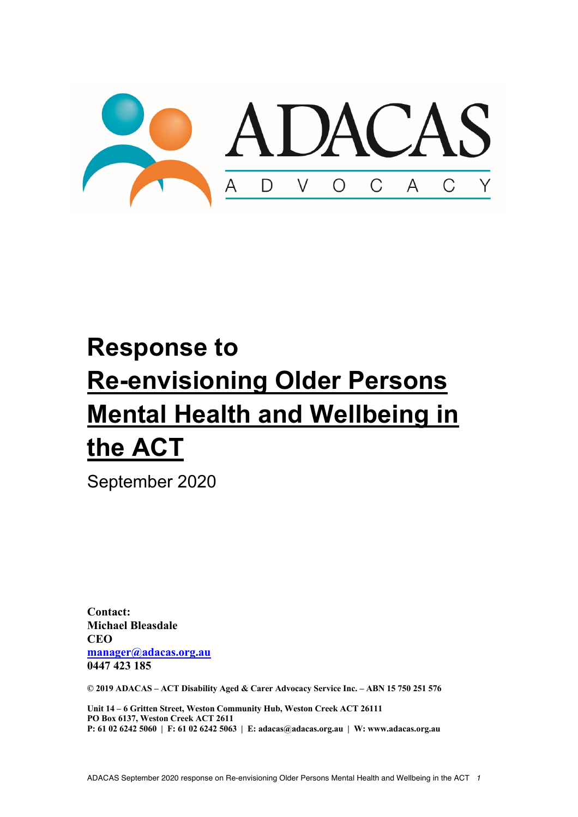

# **Response to Re-envisioning Older Persons Mental Health and Wellbeing in the ACT**

September 2020

**Contact: Michael Bleasdale CEO manager@adacas.org.au 0447 423 185**

**© 2019 ADACAS – ACT Disability Aged & Carer Advocacy Service Inc. – ABN 15 750 251 576**

**Unit 14 – 6 Gritten Street, Weston Community Hub, Weston Creek ACT 26111 PO Box 6137, Weston Creek ACT 2611 P: 61 02 6242 5060 | F: 61 02 6242 5063 | E: adacas@adacas.org.au | W: www.adacas.org.au**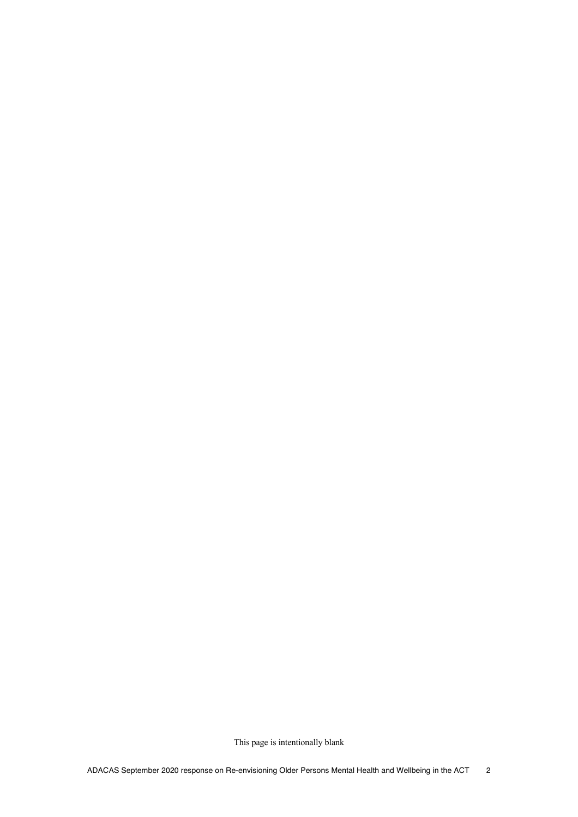This page is intentionally blank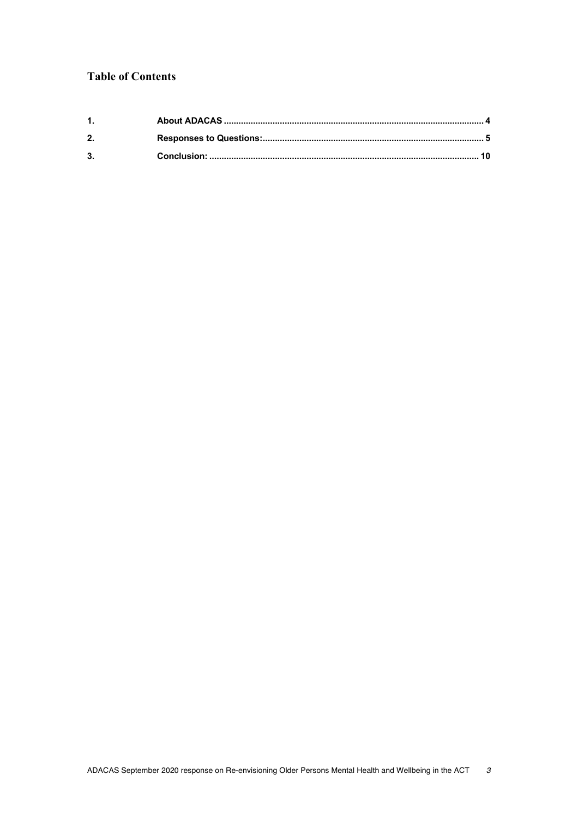### **Table of Contents**

| $1.$ $\sim$ $\sim$ |  |
|--------------------|--|
|                    |  |
| 3 <sub>1</sub>     |  |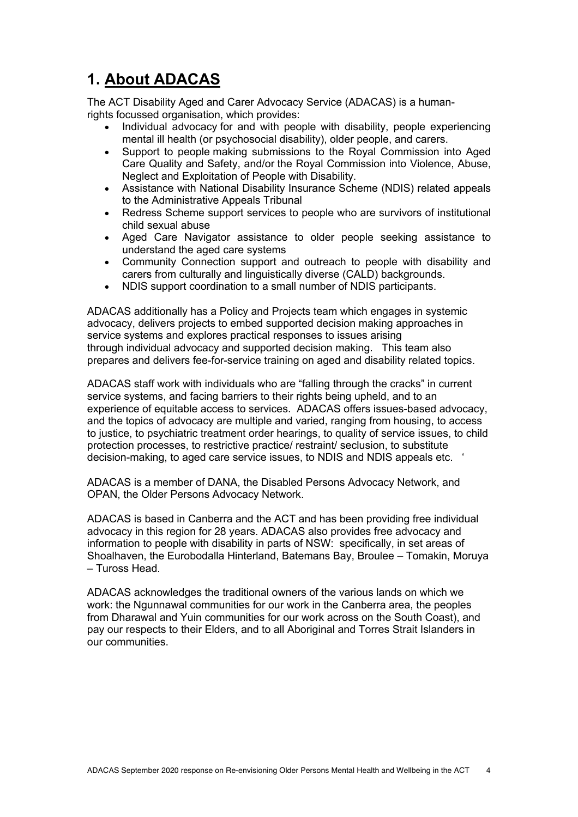# **1. About ADACAS**

The ACT Disability Aged and Carer Advocacy Service (ADACAS) is a humanrights focussed organisation, which provides:

- Individual advocacy for and with people with disability, people experiencing mental ill health (or psychosocial disability), older people, and carers.
- Support to people making submissions to the Royal Commission into Aged Care Quality and Safety, and/or the Royal Commission into Violence, Abuse, Neglect and Exploitation of People with Disability.
- Assistance with National Disability Insurance Scheme (NDIS) related appeals to the Administrative Appeals Tribunal
- Redress Scheme support services to people who are survivors of institutional child sexual abuse
- Aged Care Navigator assistance to older people seeking assistance to understand the aged care systems
- Community Connection support and outreach to people with disability and carers from culturally and linguistically diverse (CALD) backgrounds.
- NDIS support coordination to a small number of NDIS participants.

ADACAS additionally has a Policy and Projects team which engages in systemic advocacy, delivers projects to embed supported decision making approaches in service systems and explores practical responses to issues arising through individual advocacy and supported decision making. This team also prepares and delivers fee-for-service training on aged and disability related topics.

ADACAS staff work with individuals who are "falling through the cracks" in current service systems, and facing barriers to their rights being upheld, and to an experience of equitable access to services. ADACAS offers issues-based advocacy, and the topics of advocacy are multiple and varied, ranging from housing, to access to justice, to psychiatric treatment order hearings, to quality of service issues, to child protection processes, to restrictive practice/ restraint/ seclusion, to substitute decision-making, to aged care service issues, to NDIS and NDIS appeals etc. '

ADACAS is a member of DANA, the Disabled Persons Advocacy Network, and OPAN, the Older Persons Advocacy Network.

ADACAS is based in Canberra and the ACT and has been providing free individual advocacy in this region for 28 years. ADACAS also provides free advocacy and information to people with disability in parts of NSW: specifically, in set areas of Shoalhaven, the Eurobodalla Hinterland, Batemans Bay, Broulee – Tomakin, Moruya – Tuross Head.

ADACAS acknowledges the traditional owners of the various lands on which we work: the Ngunnawal communities for our work in the Canberra area, the peoples from Dharawal and Yuin communities for our work across on the South Coast), and pay our respects to their Elders, and to all Aboriginal and Torres Strait Islanders in our communities.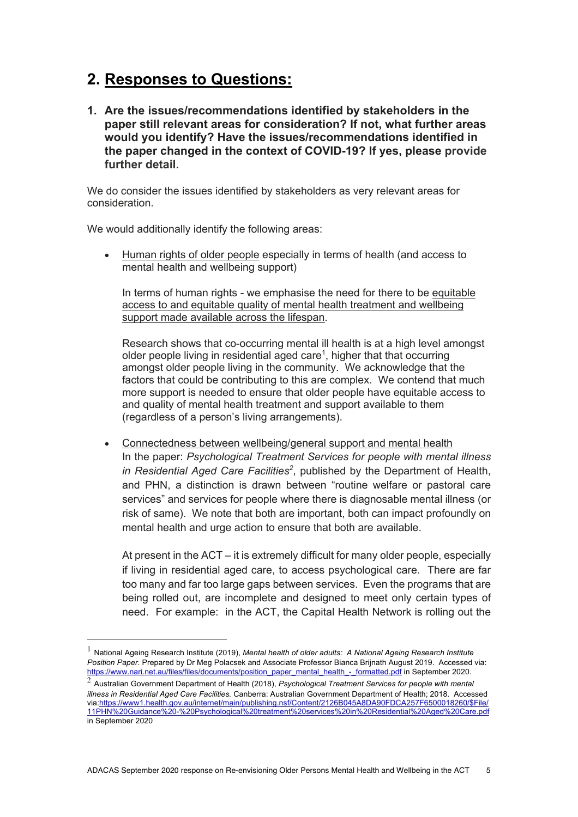## **2. Responses to Questions:**

**1. Are the issues/recommendations identified by stakeholders in the paper still relevant areas for consideration? If not, what further areas would you identify? Have the issues/recommendations identified in the paper changed in the context of COVID-19? If yes, please provide further detail.**

We do consider the issues identified by stakeholders as very relevant areas for consideration.

We would additionally identify the following areas:

• Human rights of older people especially in terms of health (and access to mental health and wellbeing support)

In terms of human rights - we emphasise the need for there to be equitable access to and equitable quality of mental health treatment and wellbeing support made available across the lifespan.

Research shows that co-occurring mental ill health is at a high level amongst older people living in residential aged care<sup>1</sup>, higher that that occurring amongst older people living in the community. We acknowledge that the factors that could be contributing to this are complex. We contend that much more support is needed to ensure that older people have equitable access to and quality of mental health treatment and support available to them (regardless of a person's living arrangements).

• Connectedness between wellbeing/general support and mental health In the paper: *Psychological Treatment Services for people with mental illness*  in Residential Aged Care Facilities<sup>2</sup>, published by the Department of Health, and PHN, a distinction is drawn between "routine welfare or pastoral care services" and services for people where there is diagnosable mental illness (or risk of same). We note that both are important, both can impact profoundly on mental health and urge action to ensure that both are available.

At present in the ACT – it is extremely difficult for many older people, especially if living in residential aged care, to access psychological care. There are far too many and far too large gaps between services. Even the programs that are being rolled out, are incomplete and designed to meet only certain types of need. For example: in the ACT, the Capital Health Network is rolling out the

<sup>1</sup> National Ageing Research Institute (2019), *Mental health of older adults: A National Ageing Research Institute Position Paper*. Prepared by Dr Meg Polacsek and Associate Professor Bianca Brijnath August 2019. Accessed via: https://www.nari.net.au/files/files/documents/position\_paper\_mental\_health\_-\_formatted.pdf in September 2020.

<sup>2</sup> Australian Government Department of Health (2018), *Psychological Treatment Services for people with mental illness in Residential Aged Care Facilities.* Canberra: Australian Government Department of Health; 2018. Accessed via:https://www1.health.gov.au/internet/main/publishing.nsf/Content/2126B045A8DA90FDCA257F6500018260/\$File/ 11PHN%20Guidance%20-%20Psychological%20treatment%20services%20in%20Residential%20Aged%20Care.pdf in September 2020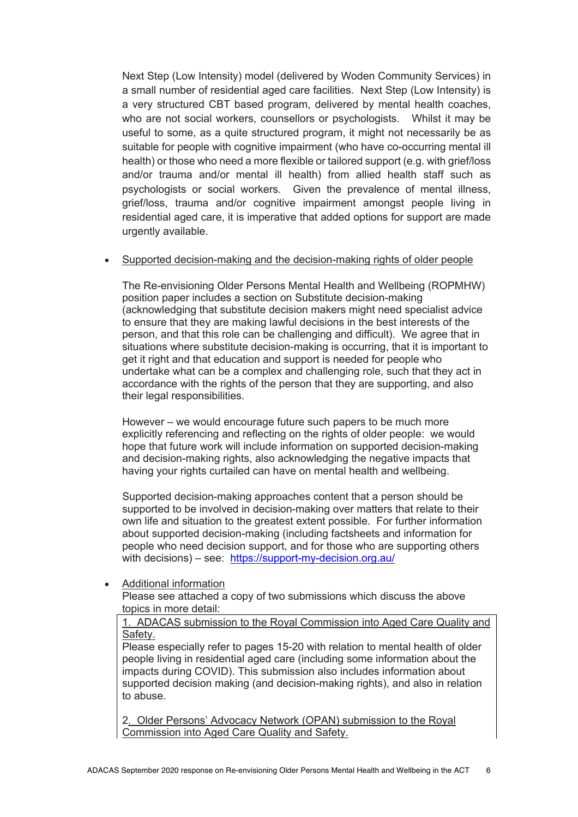Next Step (Low Intensity) model (delivered by Woden Community Services) in a small number of residential aged care facilities. Next Step (Low Intensity) is a very structured CBT based program, delivered by mental health coaches, who are not social workers, counsellors or psychologists. Whilst it may be useful to some, as a quite structured program, it might not necessarily be as suitable for people with cognitive impairment (who have co-occurring mental ill health) or those who need a more flexible or tailored support (e.g. with grief/loss and/or trauma and/or mental ill health) from allied health staff such as psychologists or social workers. Given the prevalence of mental illness, grief/loss, trauma and/or cognitive impairment amongst people living in residential aged care, it is imperative that added options for support are made urgently available.

#### • Supported decision-making and the decision-making rights of older people

The Re-envisioning Older Persons Mental Health and Wellbeing (ROPMHW) position paper includes a section on Substitute decision-making (acknowledging that substitute decision makers might need specialist advice to ensure that they are making lawful decisions in the best interests of the person, and that this role can be challenging and difficult). We agree that in situations where substitute decision-making is occurring, that it is important to get it right and that education and support is needed for people who undertake what can be a complex and challenging role, such that they act in accordance with the rights of the person that they are supporting, and also their legal responsibilities.

However – we would encourage future such papers to be much more explicitly referencing and reflecting on the rights of older people: we would hope that future work will include information on supported decision-making and decision-making rights, also acknowledging the negative impacts that having your rights curtailed can have on mental health and wellbeing.

Supported decision-making approaches content that a person should be supported to be involved in decision-making over matters that relate to their own life and situation to the greatest extent possible. For further information about supported decision-making (including factsheets and information for people who need decision support, and for those who are supporting others with decisions) – see: https://support-my-decision.org.au/

#### • Additional information

Please see attached a copy of two submissions which discuss the above topics in more detail:

1. ADACAS submission to the Royal Commission into Aged Care Quality and Safety.

Please especially refer to pages 15-20 with relation to mental health of older people living in residential aged care (including some information about the impacts during COVID). This submission also includes information about supported decision making (and decision-making rights), and also in relation to abuse.

2. Older Persons' Advocacy Network (OPAN) submission to the Royal Commission into Aged Care Quality and Safety.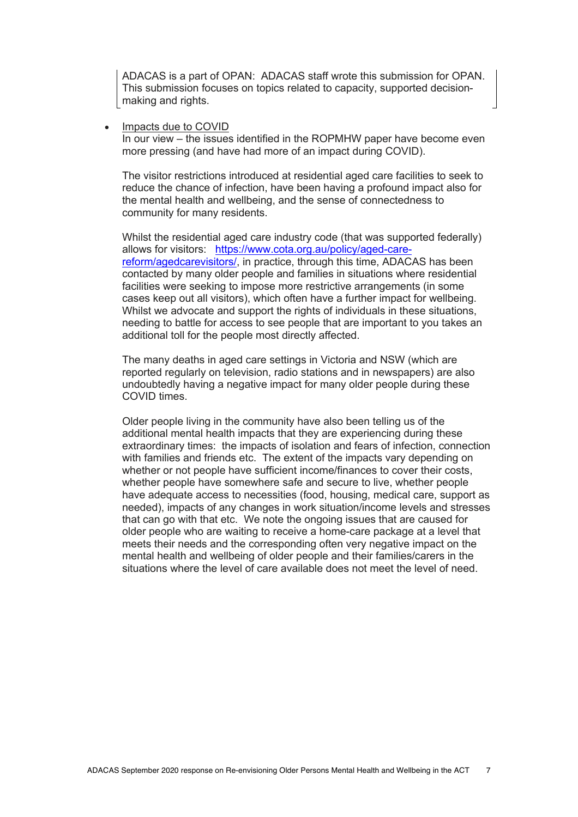ADACAS is a part of OPAN: ADACAS staff wrote this submission for OPAN. This submission focuses on topics related to capacity, supported decisionmaking and rights.

#### • Impacts due to COVID

In our view – the issues identified in the ROPMHW paper have become even more pressing (and have had more of an impact during COVID).

The visitor restrictions introduced at residential aged care facilities to seek to reduce the chance of infection, have been having a profound impact also for the mental health and wellbeing, and the sense of connectedness to community for many residents.

Whilst the residential aged care industry code (that was supported federally) allows for visitors: https://www.cota.org.au/policy/aged-carereform/agedcarevisitors/, in practice, through this time, ADACAS has been contacted by many older people and families in situations where residential facilities were seeking to impose more restrictive arrangements (in some cases keep out all visitors), which often have a further impact for wellbeing. Whilst we advocate and support the rights of individuals in these situations, needing to battle for access to see people that are important to you takes an additional toll for the people most directly affected.

The many deaths in aged care settings in Victoria and NSW (which are reported regularly on television, radio stations and in newspapers) are also undoubtedly having a negative impact for many older people during these COVID times.

Older people living in the community have also been telling us of the additional mental health impacts that they are experiencing during these extraordinary times: the impacts of isolation and fears of infection, connection with families and friends etc. The extent of the impacts vary depending on whether or not people have sufficient income/finances to cover their costs, whether people have somewhere safe and secure to live, whether people have adequate access to necessities (food, housing, medical care, support as needed), impacts of any changes in work situation/income levels and stresses that can go with that etc. We note the ongoing issues that are caused for older people who are waiting to receive a home-care package at a level that meets their needs and the corresponding often very negative impact on the mental health and wellbeing of older people and their families/carers in the situations where the level of care available does not meet the level of need.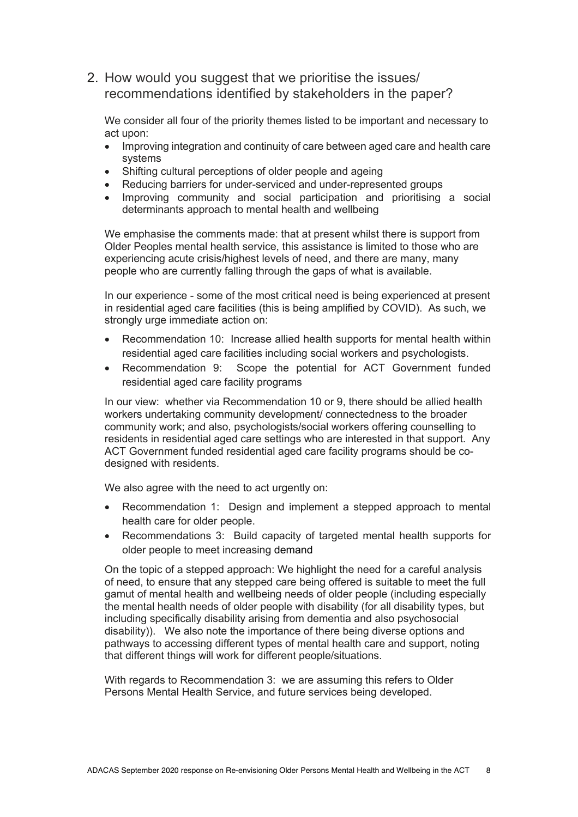2. How would you suggest that we prioritise the issues/ recommendations identified by stakeholders in the paper?

We consider all four of the priority themes listed to be important and necessary to act upon:

- Improving integration and continuity of care between aged care and health care systems
- Shifting cultural perceptions of older people and ageing
- Reducing barriers for under-serviced and under-represented groups
- Improving community and social participation and prioritising a social determinants approach to mental health and wellbeing

We emphasise the comments made: that at present whilst there is support from Older Peoples mental health service, this assistance is limited to those who are experiencing acute crisis/highest levels of need, and there are many, many people who are currently falling through the gaps of what is available.

In our experience - some of the most critical need is being experienced at present in residential aged care facilities (this is being amplified by COVID). As such, we strongly urge immediate action on:

- Recommendation 10: Increase allied health supports for mental health within residential aged care facilities including social workers and psychologists.
- Recommendation 9: Scope the potential for ACT Government funded residential aged care facility programs

In our view: whether via Recommendation 10 or 9, there should be allied health workers undertaking community development/ connectedness to the broader community work; and also, psychologists/social workers offering counselling to residents in residential aged care settings who are interested in that support. Any ACT Government funded residential aged care facility programs should be codesigned with residents.

We also agree with the need to act urgently on:

- Recommendation 1: Design and implement a stepped approach to mental health care for older people.
- Recommendations 3: Build capacity of targeted mental health supports for older people to meet increasing demand

On the topic of a stepped approach: We highlight the need for a careful analysis of need, to ensure that any stepped care being offered is suitable to meet the full gamut of mental health and wellbeing needs of older people (including especially the mental health needs of older people with disability (for all disability types, but including specifically disability arising from dementia and also psychosocial disability)). We also note the importance of there being diverse options and pathways to accessing different types of mental health care and support, noting that different things will work for different people/situations.

With regards to Recommendation 3: we are assuming this refers to Older Persons Mental Health Service, and future services being developed.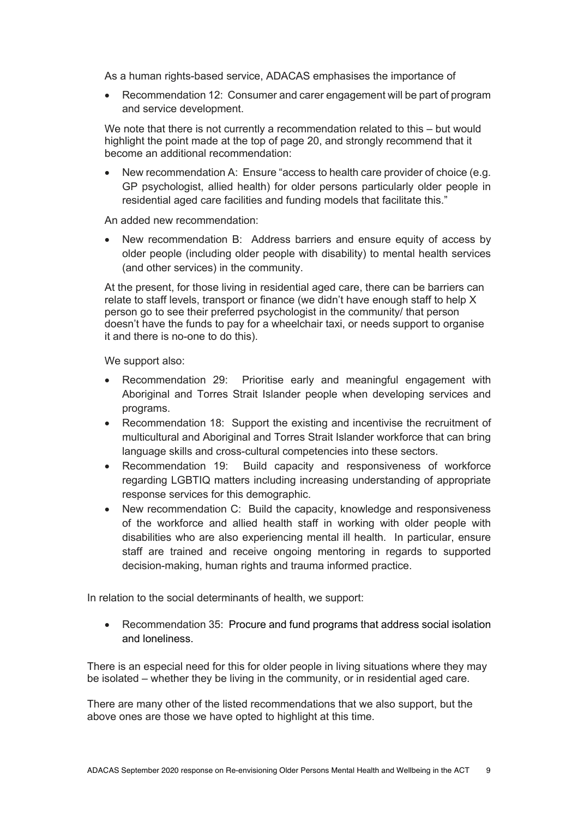As a human rights-based service, ADACAS emphasises the importance of

• Recommendation 12: Consumer and carer engagement will be part of program and service development.

We note that there is not currently a recommendation related to this – but would highlight the point made at the top of page 20, and strongly recommend that it become an additional recommendation:

• New recommendation A: Ensure "access to health care provider of choice (e.g. GP psychologist, allied health) for older persons particularly older people in residential aged care facilities and funding models that facilitate this."

An added new recommendation:

New recommendation B: Address barriers and ensure equity of access by older people (including older people with disability) to mental health services (and other services) in the community.

At the present, for those living in residential aged care, there can be barriers can relate to staff levels, transport or finance (we didn't have enough staff to help X person go to see their preferred psychologist in the community/ that person doesn't have the funds to pay for a wheelchair taxi, or needs support to organise it and there is no-one to do this).

We support also:

- Recommendation 29: Prioritise early and meaningful engagement with Aboriginal and Torres Strait Islander people when developing services and programs.
- Recommendation 18: Support the existing and incentivise the recruitment of multicultural and Aboriginal and Torres Strait Islander workforce that can bring language skills and cross-cultural competencies into these sectors.
- Recommendation 19: Build capacity and responsiveness of workforce regarding LGBTIQ matters including increasing understanding of appropriate response services for this demographic.
- New recommendation C: Build the capacity, knowledge and responsiveness of the workforce and allied health staff in working with older people with disabilities who are also experiencing mental ill health. In particular, ensure staff are trained and receive ongoing mentoring in regards to supported decision-making, human rights and trauma informed practice.

In relation to the social determinants of health, we support:

• Recommendation 35: Procure and fund programs that address social isolation and loneliness.

There is an especial need for this for older people in living situations where they may be isolated – whether they be living in the community, or in residential aged care.

There are many other of the listed recommendations that we also support, but the above ones are those we have opted to highlight at this time.